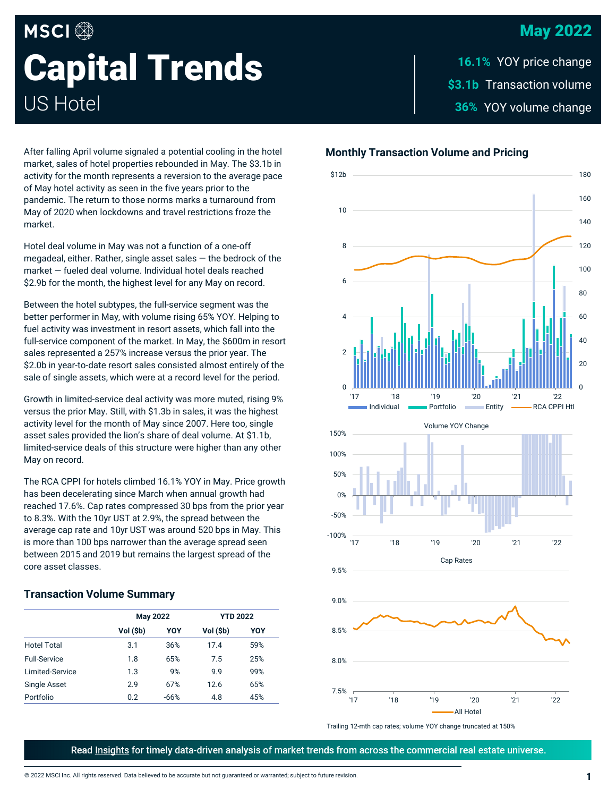## May 2022

# **MSCI Capital Trends** US Hotel

\$3.1b Transaction volume YOY volume change **36%** 16.1% YOY price change

After falling April volume signaled a potential cooling in the hotel market, sales of hotel properties rebounded in May. The \$3.1b in activity for the month represents a reversion to the average pace of May hotel activity as seen in the five years prior to the pandemic. The return to those norms marks a turnaround from May of 2020 when lockdowns and travel restrictions froze the market.

Hotel deal volume in May was not a function of a one-off megadeal, either. Rather, single asset sales  $-$  the bedrock of the market — fueled deal volume. Individual hotel deals reached \$2.9b for the month, the highest level for any May on record.

Between the hotel subtypes, the full-service segment was the better performer in May, with volume rising 65% YOY. Helping to fuel activity was investment in resort assets, which fall into the full-service component of the market. In May, the \$600m in resort sales represented a 257% increase versus the prior year. The \$2.0b in year-to-date resort sales consisted almost entirely of the sale of single assets, which were at a record level for the period.

Growth in limited-service deal activity was more muted, rising 9% versus the prior May. Still, with \$1.3b in sales, it was the highest activity level for the month of May since 2007. Here too, single asset sales provided the lion's share of deal volume. At \$1.1b, limited-service deals of this structure were higher than any other May on record.

The RCA CPPI for hotels climbed 16.1% YOY in May. Price growth has been decelerating since March when annual growth had reached 17.6%. Cap rates compressed 30 bps from the prior year to 8.3%. With the 10yr UST at 2.9%, the spread between the average cap rate and 10yr UST was around 520 bps in May. This is more than 100 bps narrower than the average spread seen between 2015 and 2019 but remains the largest spread of the core asset classes.

### **Transaction Volume Summary**

|                     | <b>May 2022</b> |        | <b>YTD 2022</b> |     |
|---------------------|-----------------|--------|-----------------|-----|
|                     | Vol (\$b)       | YOY    | Vol (\$b)       | YOY |
| <b>Hotel Total</b>  | 3.1             | 36%    | 17.4            | 59% |
| <b>Full-Service</b> | 1.8             | 65%    | 7.5             | 25% |
| Limited-Service     | 1.3             | 9%     | 9.9             | 99% |
| Single Asset        | 2.9             | 67%    | 12.6            | 65% |
| Portfolio           | 0.2             | $-66%$ | 4.8             | 45% |

## **Monthly Transaction Volume and Pricing**



Trailing 12-mth cap rates; volume YOY change truncated at 150%

Read Insights for timely data-driven analysis of market trends from across the commercial real estate universe.